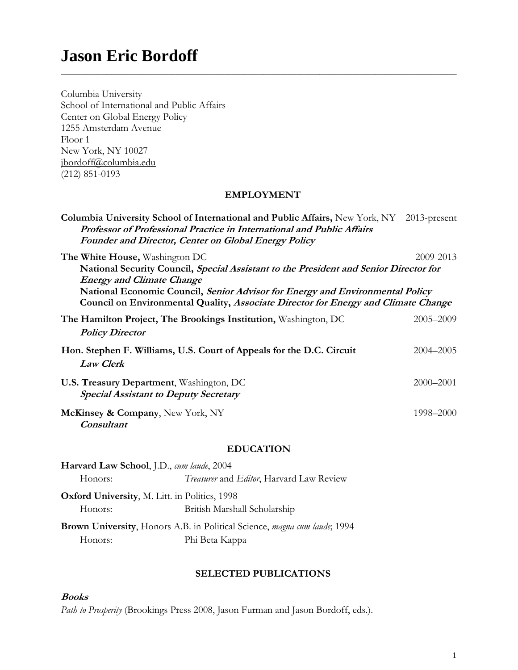# **Jason Eric Bordoff**

| Columbia University                                                                                                                                                                                                                                                                                                                |                 |
|------------------------------------------------------------------------------------------------------------------------------------------------------------------------------------------------------------------------------------------------------------------------------------------------------------------------------------|-----------------|
| School of International and Public Affairs                                                                                                                                                                                                                                                                                         |                 |
| Center on Global Energy Policy                                                                                                                                                                                                                                                                                                     |                 |
| 1255 Amsterdam Avenue                                                                                                                                                                                                                                                                                                              |                 |
| Floor 1                                                                                                                                                                                                                                                                                                                            |                 |
| New York, NY 10027                                                                                                                                                                                                                                                                                                                 |                 |
| jbordoff@columbia.edu                                                                                                                                                                                                                                                                                                              |                 |
| $(212)$ 851-0193                                                                                                                                                                                                                                                                                                                   |                 |
| <b>EMPLOYMENT</b>                                                                                                                                                                                                                                                                                                                  |                 |
| Columbia University School of International and Public Affairs, New York, NY<br>Professor of Professional Practice in International and Public Affairs<br>Founder and Director, Center on Global Energy Policy                                                                                                                     | $2013$ -present |
| The White House, Washington DC<br>National Security Council, Special Assistant to the President and Senior Director for<br><b>Energy and Climate Change</b><br>National Economic Council, Senior Advisor for Energy and Environmental Policy<br>Council on Environmental Quality, Associate Director for Energy and Climate Change | 2009-2013       |
| The Hamilton Project, The Brookings Institution, Washington, DC<br><b>Policy Director</b>                                                                                                                                                                                                                                          | 2005-2009       |
| Hon. Stephen F. Williams, U.S. Court of Appeals for the D.C. Circuit<br><b>Law Clerk</b>                                                                                                                                                                                                                                           | 2004-2005       |
| U.S. Treasury Department, Washington, DC<br><b>Special Assistant to Deputy Secretary</b>                                                                                                                                                                                                                                           | 2000-2001       |
| McKinsey & Company, New York, NY<br><b>Consultant</b>                                                                                                                                                                                                                                                                              | 1998-2000       |

**\_\_\_\_\_\_\_\_\_\_\_\_\_\_\_\_\_\_\_\_\_\_\_\_\_\_\_\_\_\_\_\_\_\_\_\_\_\_\_\_\_\_\_\_\_\_\_\_\_\_\_\_\_\_\_\_\_\_\_\_\_\_\_\_\_\_\_\_\_\_\_\_\_\_\_\_\_\_**

# **EDUCATION**

| Harvard Law School, J.D., cum laude, 2004 |                                                                           |
|-------------------------------------------|---------------------------------------------------------------------------|
| Honors:                                   | Treasurer and Editor, Harvard Law Review                                  |
|                                           | <b>Oxford University, M. Litt. in Politics, 1998</b>                      |
| Honors:                                   | British Marshall Scholarship                                              |
|                                           | Brown University, Honors A.B. in Political Science, magna cum laude; 1994 |

Honors: Phi Beta Kappa

# **SELECTED PUBLICATIONS**

**Books** 

*Path to Prosperity* (Brookings Press 2008, Jason Furman and Jason Bordoff, eds.).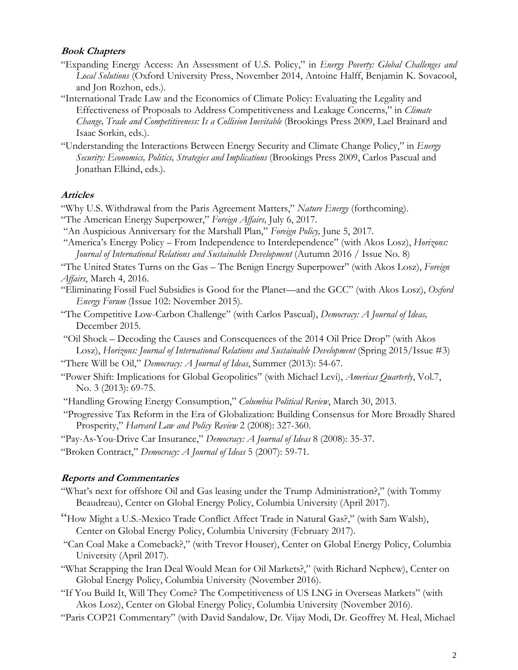#### **Book Chapters**

- "Expanding Energy Access: An Assessment of U.S. Policy," in *Energy Poverty: Global Challenges and Local Solutions* (Oxford University Press, November 2014, Antoine Halff, Benjamin K. Sovacool, and Jon Rozhon, eds.).
- "International Trade Law and the Economics of Climate Policy: Evaluating the Legality and Effectiveness of Proposals to Address Competitiveness and Leakage Concerns," in *Climate Change, Trade and Competitiveness: Is a Collision Inevitable* (Brookings Press 2009, Lael Brainard and Isaac Sorkin, eds.).
- "Understanding the Interactions Between Energy Security and Climate Change Policy," in *Energy Security: Economics, Politics, Strategies and Implications* (Brookings Press 2009, Carlos Pascual and Jonathan Elkind, eds.).

#### **Articles**

- "Why U.S. Withdrawal from the Paris Agreement Matters," *Nature Energy* (forthcoming).
- "The American Energy Superpower," *Foreign Affairs,* July 6, 2017.
- "An Auspicious Anniversary for the Marshall Plan," *Foreign Policy,* June 5, 2017.
- "America's Energy Policy From Independence to Interdependence" (with Akos Losz), *Horizons: Journal of International Relations and Sustainable Development* (Autumn 2016 / Issue No. 8)
- "The United States Turns on the Gas The Benign Energy Superpower" (with Akos Losz), *Foreign Affairs*, March 4, 2016.
- "Eliminating Fossil Fuel Subsidies is Good for the Planet—and the GCC" (with Akos Losz), *Oxford Energy Forum* (Issue 102: November 2015).
- "The Competitive Low-Carbon Challenge" (with Carlos Pascual), *Democracy: A Journal of Ideas,*  December 2015.
- "Oil Shock Decoding the Causes and Consequences of the 2014 Oil Price Drop" (with Akos Losz), *Horizons: Journal of International Relations and Sustainable Development* (Spring 2015/Issue #3)
- "There Will be Oil," *Democracy: A Journal of Ideas*, Summer (2013): 54-67.
- "Power Shift: Implications for Global Geopolitics" (with Michael Levi), *Americas Quarterly*, Vol.7, No. 3 (2013): 69-75.
- "Handling Growing Energy Consumption," *Columbia Political Review*, March 30, 2013.

 "Progressive Tax Reform in the Era of Globalization: Building Consensus for More Broadly Shared Prosperity," *Harvard Law and Policy Review* 2 (2008): 327-360.

- "Pay-As-You-Drive Car Insurance," *Democracy: A Journal of Ideas* 8 (2008): 35-37.
- "Broken Contract," *Democracy: A Journal of Ideas* 5 (2007): 59-71.

#### **Reports and Commentaries**

- "What's next for offshore Oil and Gas leasing under the Trump Administration?," (with Tommy Beaudreau), Center on Global Energy Policy, Columbia University (April 2017).
- "How Might a U.S.-Mexico Trade Conflict Affect Trade in Natural Gas?," (with Sam Walsh), Center on Global Energy Policy, Columbia University (February 2017).
- "Can Coal Make a Comeback?," (with Trevor Houser), Center on Global Energy Policy, Columbia University (April 2017).
- "What Scrapping the Iran Deal Would Mean for Oil Markets?," (with Richard Nephew), Center on Global Energy Policy, Columbia University (November 2016).
- "If You Build It, Will They Come? The Competitiveness of US LNG in Overseas Markets" (with Akos Losz), Center on Global Energy Policy, Columbia University (November 2016).
- "Paris COP21 Commentary" (with David Sandalow, Dr. Vijay Modi, Dr. Geoffrey M. Heal, Michael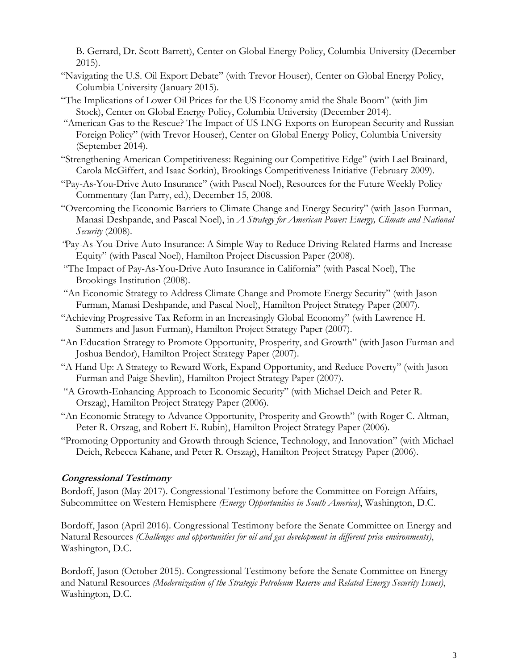B. Gerrard, Dr. Scott Barrett), Center on Global Energy Policy, Columbia University (December 2015).

- "Navigating the U.S. Oil Export Debate" (with Trevor Houser), Center on Global Energy Policy, Columbia University (January 2015).
- "The Implications of Lower Oil Prices for the US Economy amid the Shale Boom" (with Jim Stock), Center on Global Energy Policy, Columbia University (December 2014).
- "American Gas to the Rescue? The Impact of US LNG Exports on European Security and Russian Foreign Policy" (with Trevor Houser), Center on Global Energy Policy, Columbia University (September 2014).
- "Strengthening American Competitiveness: Regaining our Competitive Edge" (with Lael Brainard, Carola McGiffert, and Isaac Sorkin), Brookings Competitiveness Initiative (February 2009).
- "Pay-As-You-Drive Auto Insurance" (with Pascal Noel), Resources for the Future Weekly Policy Commentary (Ian Parry, ed.), December 15, 2008.
- "Overcoming the Economic Barriers to Climate Change and Energy Security" (with Jason Furman, Manasi Deshpande, and Pascal Noel), in *A Strategy for American Power: Energy, Climate and National Security* (2008).
- *"*Pay-As-You-Drive Auto Insurance: A Simple Way to Reduce Driving-Related Harms and Increase Equity" (with Pascal Noel), Hamilton Project Discussion Paper (2008).
- "The Impact of Pay-As-You-Drive Auto Insurance in California" (with Pascal Noel), The Brookings Institution (2008).
- "An Economic Strategy to Address Climate Change and Promote Energy Security" (with Jason Furman, Manasi Deshpande, and Pascal Noel), Hamilton Project Strategy Paper (2007).
- "Achieving Progressive Tax Reform in an Increasingly Global Economy" (with Lawrence H. Summers and Jason Furman), Hamilton Project Strategy Paper (2007).
- "An Education Strategy to Promote Opportunity, Prosperity, and Growth" (with Jason Furman and Joshua Bendor), Hamilton Project Strategy Paper (2007).
- "A Hand Up: A Strategy to Reward Work, Expand Opportunity, and Reduce Poverty" (with Jason Furman and Paige Shevlin), Hamilton Project Strategy Paper (2007).
- "A Growth-Enhancing Approach to Economic Security" (with Michael Deich and Peter R. Orszag), Hamilton Project Strategy Paper (2006).
- "An Economic Strategy to Advance Opportunity, Prosperity and Growth" (with Roger C. Altman, Peter R. Orszag, and Robert E. Rubin), Hamilton Project Strategy Paper (2006).
- "Promoting Opportunity and Growth through Science, Technology, and Innovation" (with Michael Deich, Rebecca Kahane, and Peter R. Orszag), Hamilton Project Strategy Paper (2006).

# **Congressional Testimony**

Bordoff, Jason (May 2017). Congressional Testimony before the Committee on Foreign Affairs, Subcommittee on Western Hemisphere *(Energy Opportunities in South America)*, Washington, D.C.

Bordoff, Jason (April 2016). Congressional Testimony before the Senate Committee on Energy and Natural Resources *(Challenges and opportunities for oil and gas development in different price environments)*, Washington, D.C.

Bordoff, Jason (October 2015). Congressional Testimony before the Senate Committee on Energy and Natural Resources *(Modernization of the Strategic Petroleum Reserve and Related Energy Security Issues)*, Washington, D.C.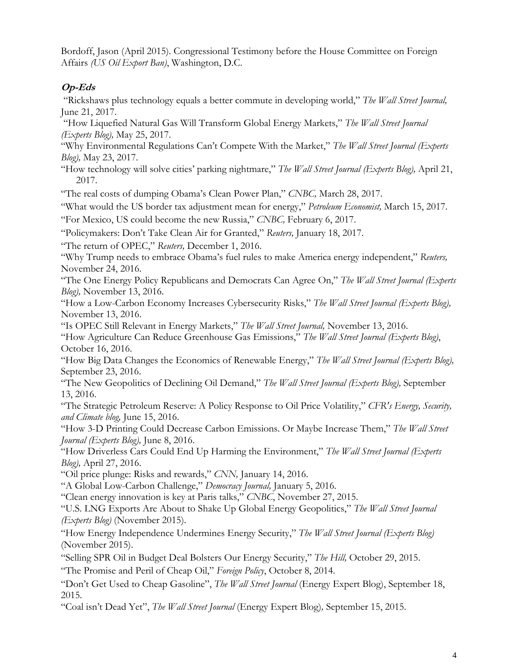Bordoff, Jason (April 2015). Congressional Testimony before the House Committee on Foreign Affairs *(US Oil Export Ban)*, Washington, D.C.

# **Op-Eds**

 "Rickshaws plus technology equals a better commute in developing world," *The Wall Street Journal,* June 21, 2017.

 "How Liquefied Natural Gas Will Transform Global Energy Markets," *The Wall Street Journal (Experts Blog),* May 25, 2017.

"Why Environmental Regulations Can't Compete With the Market," *The Wall Street Journal (Experts Blog),* May 23, 2017.

"How technology will solve cities' parking nightmare," *The Wall Street Journal (Experts Blog),* April 21, 2017.

"The real costs of dumping Obama's Clean Power Plan," *CNBC,* March 28, 2017.

"What would the US border tax adjustment mean for energy," *Petroleum Economist,* March 15, 2017.

"For Mexico, US could become the new Russia," *CNBC,* February 6, 2017.

"Policymakers: Don't Take Clean Air for Granted," *Reuters,* January 18, 2017.

"The return of OPEC," *Reuters,* December 1, 2016.

"Why Trump needs to embrace Obama's fuel rules to make America energy independent," *Reuters,*  November 24, 2016.

"The One Energy Policy Republicans and Democrats Can Agree On," *The Wall Street Journal (Experts Blog),* November 13, 2016.

"How a Low-Carbon Economy Increases Cybersecurity Risks," *The Wall Street Journal (Experts Blog),*  November 13, 2016.

"Is OPEC Still Relevant in Energy Markets," *The Wall Street Journal,* November 13, 2016.

"How Agriculture Can Reduce Greenhouse Gas Emissions," *The Wall Street Journal (Experts Blog)*, October 16, 2016.

"How Big Data Changes the Economics of Renewable Energy," *The Wall Street Journal (Experts Blog),*  September 23, 2016.

"The New Geopolitics of Declining Oil Demand," *The Wall Street Journal (Experts Blog),* September 13, 2016.

"The Strategic Petroleum Reserve: A Policy Response to Oil Price Volatility," *CFR's Energy, Security, and Climate blog,* June 15, 2016.

"How 3-D Printing Could Decrease Carbon Emissions. Or Maybe Increase Them," *The Wall Street Journal (Experts Blog),* June 8, 2016.

"How Driverless Cars Could End Up Harming the Environment," *The Wall Street Journal (Experts Blog),* April 27, 2016.

"Oil price plunge: Risks and rewards," *CNN,* January 14, 2016.

"A Global Low-Carbon Challenge," *Democracy Journal,* January 5, 2016.

"Clean energy innovation is key at Paris talks," *CNBC*, November 27, 2015.

"U.S. LNG Exports Are About to Shake Up Global Energy Geopolitics," *The Wall Street Journal (Experts Blog)* (November 2015).

"How Energy Independence Undermines Energy Security," *The Wall Street Journal (Experts Blog)*  (November 2015).

"Selling SPR Oil in Budget Deal Bolsters Our Energy Security," *The Hill,* October 29, 2015.

"The Promise and Peril of Cheap Oil," *Foreign Policy*, October 8, 2014.

"Don't Get Used to Cheap Gasoline", *The Wall Street Journal* (Energy Expert Blog), September 18, 2015.

"Coal isn't Dead Yet", *The Wall Street Journal* (Energy Expert Blog)*,* September 15, 2015.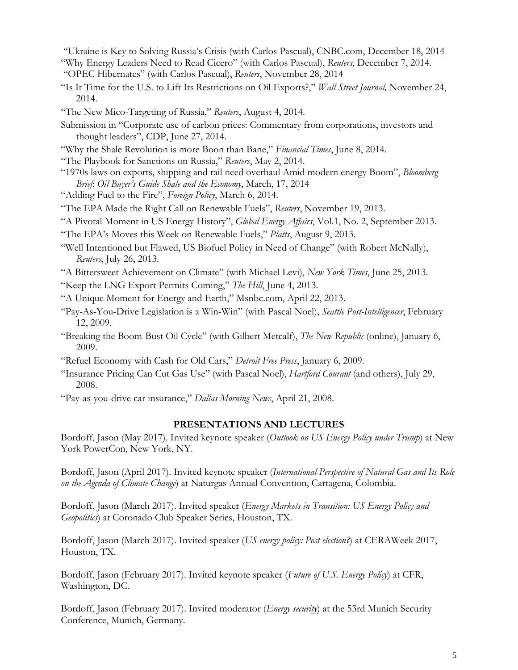- "Ukraine is Key to Solving Russia's Crisis (with Carlos Pascual), CNBC.com, December 18, 2014
- "Why Energy Leaders Need to Read Cicero" (with Carlos Pascual), *Reuters*, December 7, 2014.
- "OPEC Hibernates" (with Carlos Pascual), *Reuters*, November 28, 2014
- "Is It Time for the U.S. to Lift Its Restrictions on Oil Exports?," *Wall Street Journal,* November 24, 2014.
- "The New Mico-Targeting of Russia," *Reuters*, August 4, 2014.
- Submission in "Corporate use of carbon prices: Commentary from corporations, investors and thought leaders", CDP, June 27, 2014.
- "Why the Shale Revolution is more Boon than Bane," *Financial Times*, June 8, 2014.
- "The Playbook for Sanctions on Russia," *Reuters*, May 2, 2014.
- "1970s laws on exports, shipping and rail need overhaul Amid modern energy Boom", *Bloomberg Brief*: *Oil Buyer's Guide Shale and the Economy*, March, 17, 2014
- "Adding Fuel to the Fire", *Foreign Policy*, March 6, 2014.
- "The EPA Made the Right Call on Renewable Fuels", *Reuters*, November 19, 2013.
- "A Pivotal Moment in US Energy History", *Global Energy Affairs*, Vol.1, No. 2, September 2013.
- "The EPA's Moves this Week on Renewable Fuels," *Platts*, August 9, 2013.
- "Well Intentioned but Flawed, US Biofuel Policy in Need of Change" (with Robert McNally), *Reuters*, July 26, 2013.
- "A Bittersweet Achievement on Climate" (with Michael Levi), *New York Times*, June 25, 2013.
- "Keep the LNG Export Permits Coming," *The Hill*, June 4, 2013.
- "A Unique Moment for Energy and Earth," Msnbc.com, April 22, 2013.
- "Pay-As-You-Drive Legislation is a Win-Win" (with Pascal Noel), *Seattle Post-Intelligencer*, February 12, 2009.
- "Breaking the Boom-Bust Oil Cycle" (with Gilbert Metcalf), *The New Republic* (online), January 6, 2009.
- "Refuel Economy with Cash for Old Cars," *Detroit Free Press*, January 6, 2009.
- "Insurance Pricing Can Cut Gas Use" (with Pascal Noel), *Hartford Courant* (and others), July 29, 2008.
- "Pay-as-you-drive car insurance," *Dallas Morning News*, April 21, 2008.

### **PRESENTATIONS AND LECTURES**

Bordoff, Jason (May 2017). Invited keynote speaker (*Outlook on US Energy Policy under Trump*) at New York PowerCon, New York, NY.

Bordoff, Jason (April 2017). Invited keynote speaker (*International Perspective of Natural Gas and Its Role on the Agenda of Climate Change*) at Naturgas Annual Convention, Cartagena, Colombia.

Bordoff, Jason (March 2017). Invited speaker (*Energy Markets in Transition: US Energy Policy and Geopolitics*) at Coronado Club Speaker Series, Houston, TX.

Bordoff, Jason (March 2017). Invited speaker (*US energy policy: Post election?*) at CERAWeek 2017, Houston, TX.

Bordoff, Jason (February 2017). Invited keynote speaker (*Future of U.S. Energy Policy*) at CFR, Washington, DC.

Bordoff, Jason (February 2017). Invited moderator (*Energy security*) at the 53rd Munich Security Conference, Munich, Germany.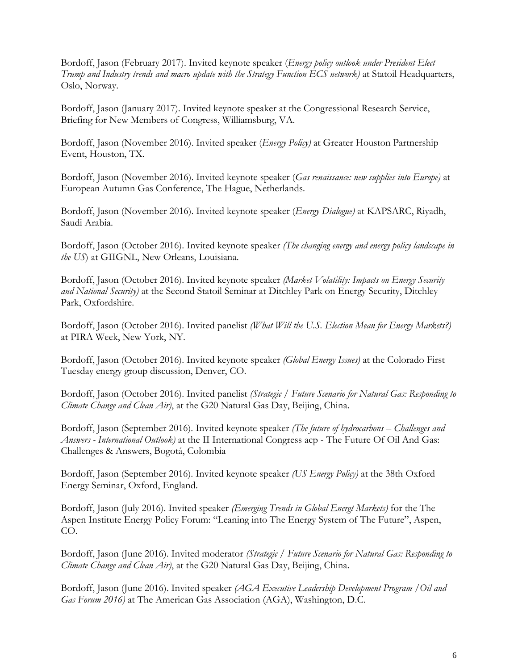Bordoff, Jason (February 2017). Invited keynote speaker (*Energy policy outlook under President Elect Trump and Industry trends and macro update with the Strategy Function ECS network)* at Statoil Headquarters, Oslo, Norway.

Bordoff, Jason (January 2017). Invited keynote speaker at the Congressional Research Service, Briefing for New Members of Congress, Williamsburg, VA.

Bordoff, Jason (November 2016). Invited speaker (*Energy Policy)* at Greater Houston Partnership Event, Houston, TX.

Bordoff, Jason (November 2016). Invited keynote speaker (*Gas renaissance: new supplies into Europe)* at European Autumn Gas Conference, The Hague, Netherlands.

Bordoff, Jason (November 2016). Invited keynote speaker (*Energy Dialogue)* at KAPSARC, Riyadh, Saudi Arabia.

Bordoff, Jason (October 2016). Invited keynote speaker *(The changing energy and energy policy landscape in the US*) at GIIGNL, New Orleans, Louisiana.

Bordoff, Jason (October 2016). Invited keynote speaker *(Market Volatility: Impacts on Energy Security and National Security)* at the Second Statoil Seminar at Ditchley Park on Energy Security, Ditchley Park, Oxfordshire.

Bordoff, Jason (October 2016). Invited panelist *(What Will the U.S. Election Mean for Energy Markets?)*  at PIRA Week, New York, NY.

Bordoff, Jason (October 2016). Invited keynote speaker *(Global Energy Issues)* at the Colorado First Tuesday energy group discussion, Denver, CO.

Bordoff, Jason (October 2016). Invited panelist *(Strategic / Future Scenario for Natural Gas: Responding to Climate Change and Clean Air)*, at the G20 Natural Gas Day, Beijing, China.

Bordoff, Jason (September 2016). Invited keynote speaker *(The future of hydrocarbons – Challenges and Answers - International Outlook)* at the II International Congress acp - The Future Of Oil And Gas: Challenges & Answers, Bogotá, Colombia

Bordoff, Jason (September 2016). Invited keynote speaker *(US Energy Policy)* at the 38th Oxford Energy Seminar, Oxford, England.

Bordoff, Jason (July 2016). Invited speaker *(Emerging Trends in Global Energt Markets)* for the The Aspen Institute Energy Policy Forum: "Leaning into The Energy System of The Future", Aspen, CO.

Bordoff, Jason (June 2016). Invited moderator *(Strategic / Future Scenario for Natural Gas: Responding to Climate Change and Clean Air)*, at the G20 Natural Gas Day, Beijing, China.

Bordoff, Jason (June 2016). Invited speaker *(AGA Executive Leadership Development Program /Oil and Gas Forum 2016)* at The American Gas Association (AGA), Washington, D.C.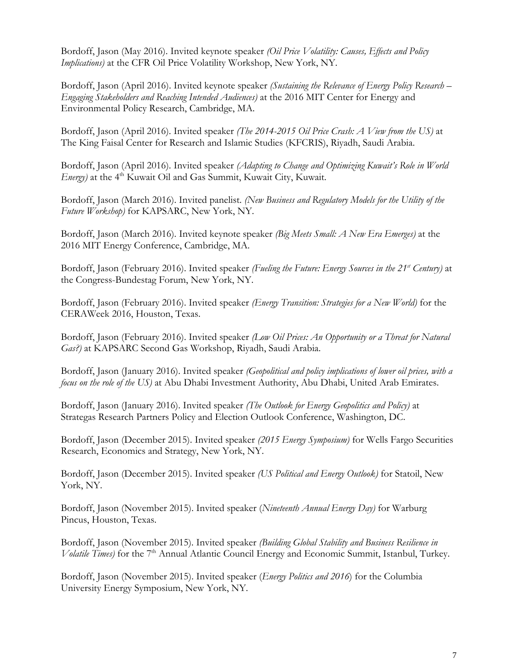Bordoff, Jason (May 2016). Invited keynote speaker *(Oil Price Volatility: Causes, Effects and Policy Implications)* at the CFR Oil Price Volatility Workshop, New York, NY.

Bordoff, Jason (April 2016). Invited keynote speaker *(Sustaining the Relevance of Energy Policy Research – Engaging Stakeholders and Reaching Intended Audiences)* at the 2016 MIT Center for Energy and Environmental Policy Research, Cambridge, MA.

Bordoff, Jason (April 2016). Invited speaker *(The 2014-2015 Oil Price Crash: A View from the US)* at The King Faisal Center for Research and Islamic Studies (KFCRIS), Riyadh, Saudi Arabia.

Bordoff, Jason (April 2016). Invited speaker *(Adapting to Change and Optimizing Kuwait's Role in World Energy*) at the 4<sup>th</sup> Kuwait Oil and Gas Summit, Kuwait City, Kuwait.

Bordoff, Jason (March 2016). Invited panelist. *(New Business and Regulatory Models for the Utility of the Future Workshop)* for KAPSARC, New York, NY.

Bordoff, Jason (March 2016). Invited keynote speaker *(Big Meets Small: A New Era Emerges)* at the 2016 MIT Energy Conference, Cambridge, MA.

Bordoff, Jason (February 2016). Invited speaker *(Fueling the Future: Energy Sources in the 21st Century)* at the Congress-Bundestag Forum, New York, NY.

Bordoff, Jason (February 2016). Invited speaker *(Energy Transition: Strategies for a New World)* for the CERAWeek 2016, Houston, Texas.

Bordoff, Jason (February 2016). Invited speaker *(Low Oil Prices: An Opportunity or a Threat for Natural Gas?)* at KAPSARC Second Gas Workshop, Riyadh, Saudi Arabia.

Bordoff, Jason (January 2016). Invited speaker *(Geopolitical and policy implications of lower oil prices, with a focus on the role of the US)* at Abu Dhabi Investment Authority, Abu Dhabi, United Arab Emirates.

Bordoff, Jason (January 2016). Invited speaker *(The Outlook for Energy Geopolitics and Policy)* at Strategas Research Partners Policy and Election Outlook Conference, Washington, DC.

Bordoff, Jason (December 2015). Invited speaker *(2015 Energy Symposium)* for Wells Fargo Securities Research, Economics and Strategy, New York, NY.

Bordoff, Jason (December 2015). Invited speaker *(US Political and Energy Outlook)* for Statoil, New York, NY.

Bordoff, Jason (November 2015). Invited speaker (*Nineteenth Annual Energy Day)* for Warburg Pincus, Houston, Texas.

Bordoff, Jason (November 2015). Invited speaker *(Building Global Stability and Business Resilience in Volatile Times*) for the 7<sup>th</sup> Annual Atlantic Council Energy and Economic Summit, Istanbul, Turkey.

Bordoff, Jason (November 2015). Invited speaker (*Energy Politics and 2016*) for the Columbia University Energy Symposium, New York, NY.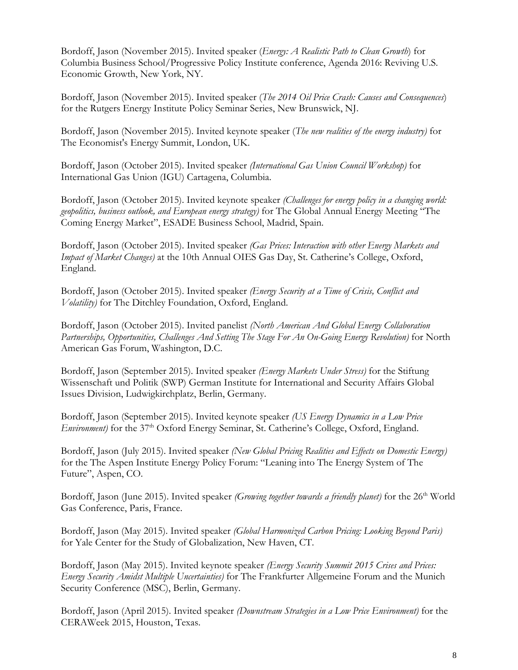Bordoff, Jason (November 2015). Invited speaker (*Energy: A Realistic Path to Clean Growth*) for Columbia Business School/Progressive Policy Institute conference, Agenda 2016: Reviving U.S. Economic Growth, New York, NY.

Bordoff, Jason (November 2015). Invited speaker (*The 2014 Oil Price Crash: Causes and Consequences*) for the Rutgers Energy Institute Policy Seminar Series, New Brunswick, NJ.

Bordoff, Jason (November 2015). Invited keynote speaker (*The new realities of the energy industry)* for The Economist's Energy Summit, London, UK.

Bordoff, Jason (October 2015). Invited speaker *(International Gas Union Council Workshop)* for International Gas Union (IGU) Cartagena, Columbia.

Bordoff, Jason (October 2015). Invited keynote speaker *(Challenges for energy policy in a changing world: geopolitics, business outlook, and European energy strategy)* for The Global Annual Energy Meeting "The Coming Energy Market", ESADE Business School, Madrid, Spain.

Bordoff, Jason (October 2015). Invited speaker *(Gas Prices: Interaction with other Energy Markets and Impact of Market Changes)* at the 10th Annual OIES Gas Day, St. Catherine's College, Oxford, England.

Bordoff, Jason (October 2015). Invited speaker *(Energy Security at a Time of Crisis, Conflict and Volatility)* for The Ditchley Foundation, Oxford, England.

Bordoff, Jason (October 2015). Invited panelist *(North American And Global Energy Collaboration*  Partnerships, Opportunities, Challenges And Setting The Stage For An On-Going Energy Revolution) for North American Gas Forum, Washington, D.C.

Bordoff, Jason (September 2015). Invited speaker *(Energy Markets Under Stress)* for the Stiftung Wissenschaft und Politik (SWP) German Institute for International and Security Affairs Global Issues Division, Ludwigkirchplatz, Berlin, Germany.

Bordoff, Jason (September 2015). Invited keynote speaker *(US Energy Dynamics in a Low Price Environment*) for the 37<sup>th</sup> Oxford Energy Seminar, St. Catherine's College, Oxford, England.

Bordoff, Jason (July 2015). Invited speaker *(New Global Pricing Realities and Effects on Domestic Energy)* for the The Aspen Institute Energy Policy Forum: "Leaning into The Energy System of The Future", Aspen, CO.

Bordoff, Jason (June 2015). Invited speaker *(Growing together towards a friendly planet)* for the 26<sup>th</sup> World Gas Conference, Paris, France.

Bordoff, Jason (May 2015). Invited speaker *(Global Harmonized Carbon Pricing: Looking Beyond Paris)*  for Yale Center for the Study of Globalization, New Haven, CT.

Bordoff, Jason (May 2015). Invited keynote speaker *(Energy Security Summit 2015 Crises and Prices: Energy Security Amidst Multiple Uncertainties)* for The Frankfurter Allgemeine Forum and the Munich Security Conference (MSC), Berlin, Germany.

Bordoff, Jason (April 2015). Invited speaker *(Downstream Strategies in a Low Price Environment)* for the CERAWeek 2015, Houston, Texas.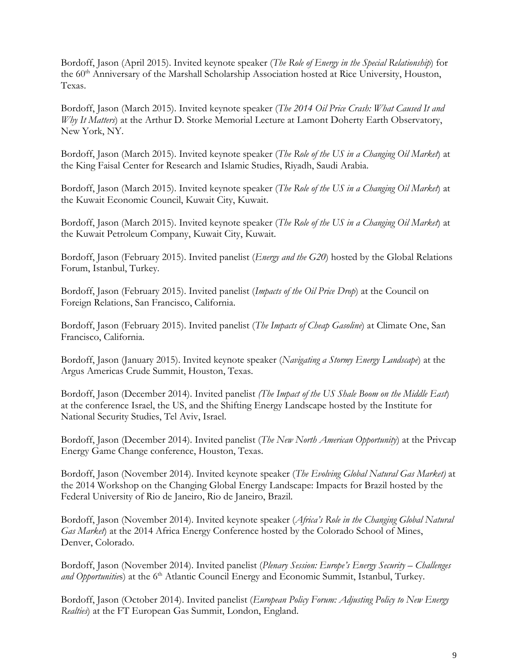Bordoff, Jason (April 2015). Invited keynote speaker (*The Role of Energy in the Special Relationship*) for the 60<sup>th</sup> Anniversary of the Marshall Scholarship Association hosted at Rice University, Houston, Texas.

Bordoff, Jason (March 2015). Invited keynote speaker (*The 2014 Oil Price Crash: What Caused It and Why It Matters*) at the Arthur D. Storke Memorial Lecture at Lamont Doherty Earth Observatory, New York, NY.

Bordoff, Jason (March 2015). Invited keynote speaker (*The Role of the US in a Changing Oil Market*) at the King Faisal Center for Research and Islamic Studies, Riyadh, Saudi Arabia.

Bordoff, Jason (March 2015). Invited keynote speaker (*The Role of the US in a Changing Oil Market*) at the Kuwait Economic Council, Kuwait City, Kuwait.

Bordoff, Jason (March 2015). Invited keynote speaker (*The Role of the US in a Changing Oil Market*) at the Kuwait Petroleum Company, Kuwait City, Kuwait.

Bordoff, Jason (February 2015). Invited panelist (*Energy and the G20*) hosted by the Global Relations Forum, Istanbul, Turkey.

Bordoff, Jason (February 2015). Invited panelist (*Impacts of the Oil Price Drop*) at the Council on Foreign Relations, San Francisco, California.

Bordoff, Jason (February 2015). Invited panelist (*The Impacts of Cheap Gasoline*) at Climate One, San Francisco, California.

Bordoff, Jason (January 2015). Invited keynote speaker (*Navigating a Stormy Energy Landscape*) at the Argus Americas Crude Summit, Houston, Texas.

Bordoff, Jason (December 2014). Invited panelist *(The Impact of the US Shale Boom on the Middle East*) at the conference Israel, the US, and the Shifting Energy Landscape hosted by the Institute for National Security Studies, Tel Aviv, Israel.

Bordoff, Jason (December 2014). Invited panelist (*The New North American Opportunity*) at the Privcap Energy Game Change conference, Houston, Texas.

Bordoff, Jason (November 2014). Invited keynote speaker (*The Evolving Global Natural Gas Market)* at the 2014 Workshop on the Changing Global Energy Landscape: Impacts for Brazil hosted by the Federal University of Rio de Janeiro, Rio de Janeiro, Brazil.

Bordoff, Jason (November 2014). Invited keynote speaker (*Africa's Role in the Changing Global Natural Gas Market*) at the 2014 Africa Energy Conference hosted by the Colorado School of Mines, Denver, Colorado.

Bordoff, Jason (November 2014). Invited panelist (*Plenary Session: Europe's Energy Security – Challenges*  and Opportunities) at the 6<sup>th</sup> Atlantic Council Energy and Economic Summit, Istanbul, Turkey.

Bordoff, Jason (October 2014). Invited panelist (*European Policy Forum: Adjusting Policy to New Energy Realties*) at the FT European Gas Summit, London, England.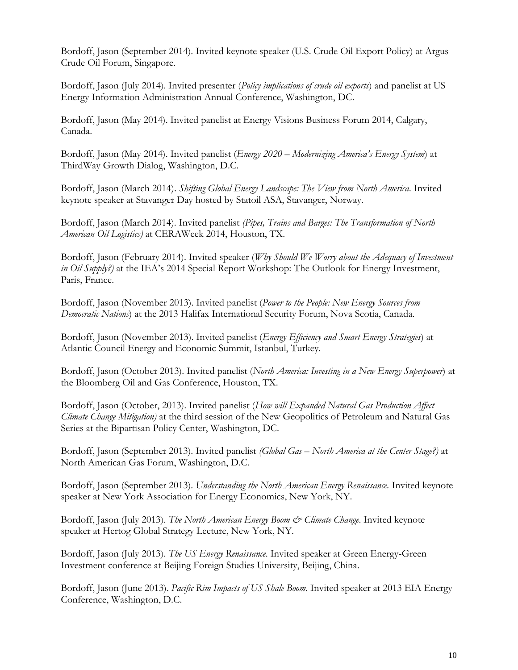Bordoff, Jason (September 2014). Invited keynote speaker (U.S. Crude Oil Export Policy) at Argus Crude Oil Forum, Singapore.

Bordoff, Jason (July 2014). Invited presenter (*Policy implications of crude oil exports*) and panelist at US Energy Information Administration Annual Conference, Washington, DC.

Bordoff, Jason (May 2014). Invited panelist at Energy Visions Business Forum 2014, Calgary, Canada.

Bordoff, Jason (May 2014). Invited panelist (*Energy 2020 – Modernizing America's Energy System*) at ThirdWay Growth Dialog, Washington, D.C.

Bordoff, Jason (March 2014). *Shifting Global Energy Landscape: The View from North America*. Invited keynote speaker at Stavanger Day hosted by Statoil ASA, Stavanger, Norway.

Bordoff, Jason (March 2014). Invited panelist *(Pipes, Trains and Barges: The Transformation of North American Oil Logistics)* at CERAWeek 2014, Houston, TX.

Bordoff, Jason (February 2014). Invited speaker (*Why Should We Worry about the Adequacy of Investment in Oil Supply?)* at the IEA's 2014 Special Report Workshop: The Outlook for Energy Investment, Paris, France.

Bordoff, Jason (November 2013). Invited panelist (*Power to the People: New Energy Sources from Democratic Nations*) at the 2013 Halifax International Security Forum, Nova Scotia, Canada.

Bordoff, Jason (November 2013). Invited panelist (*Energy Efficiency and Smart Energy Strategies*) at Atlantic Council Energy and Economic Summit, Istanbul, Turkey.

Bordoff, Jason (October 2013). Invited panelist (*North America: Investing in a New Energy Superpower*) at the Bloomberg Oil and Gas Conference, Houston, TX.

Bordoff, Jason (October, 2013). Invited panelist (*How will Expanded Natural Gas Production Affect Climate Change Mitigation)* at the third session of the New Geopolitics of Petroleum and Natural Gas Series at the Bipartisan Policy Center, Washington, DC.

Bordoff, Jason (September 2013). Invited panelist *(Global Gas – North America at the Center Stage?)* at North American Gas Forum, Washington, D.C.

Bordoff, Jason (September 2013). *Understanding the North American Energy Renaissance.* Invited keynote speaker at New York Association for Energy Economics, New York, NY.

Bordoff, Jason (July 2013). *The North American Energy Boom & Climate Change*. Invited keynote speaker at Hertog Global Strategy Lecture, New York, NY.

Bordoff, Jason (July 2013). *The US Energy Renaissance*. Invited speaker at Green Energy-Green Investment conference at Beijing Foreign Studies University, Beijing, China.

Bordoff, Jason (June 2013). *Pacific Rim Impacts of US Shale Boom*. Invited speaker at 2013 EIA Energy Conference, Washington, D.C.